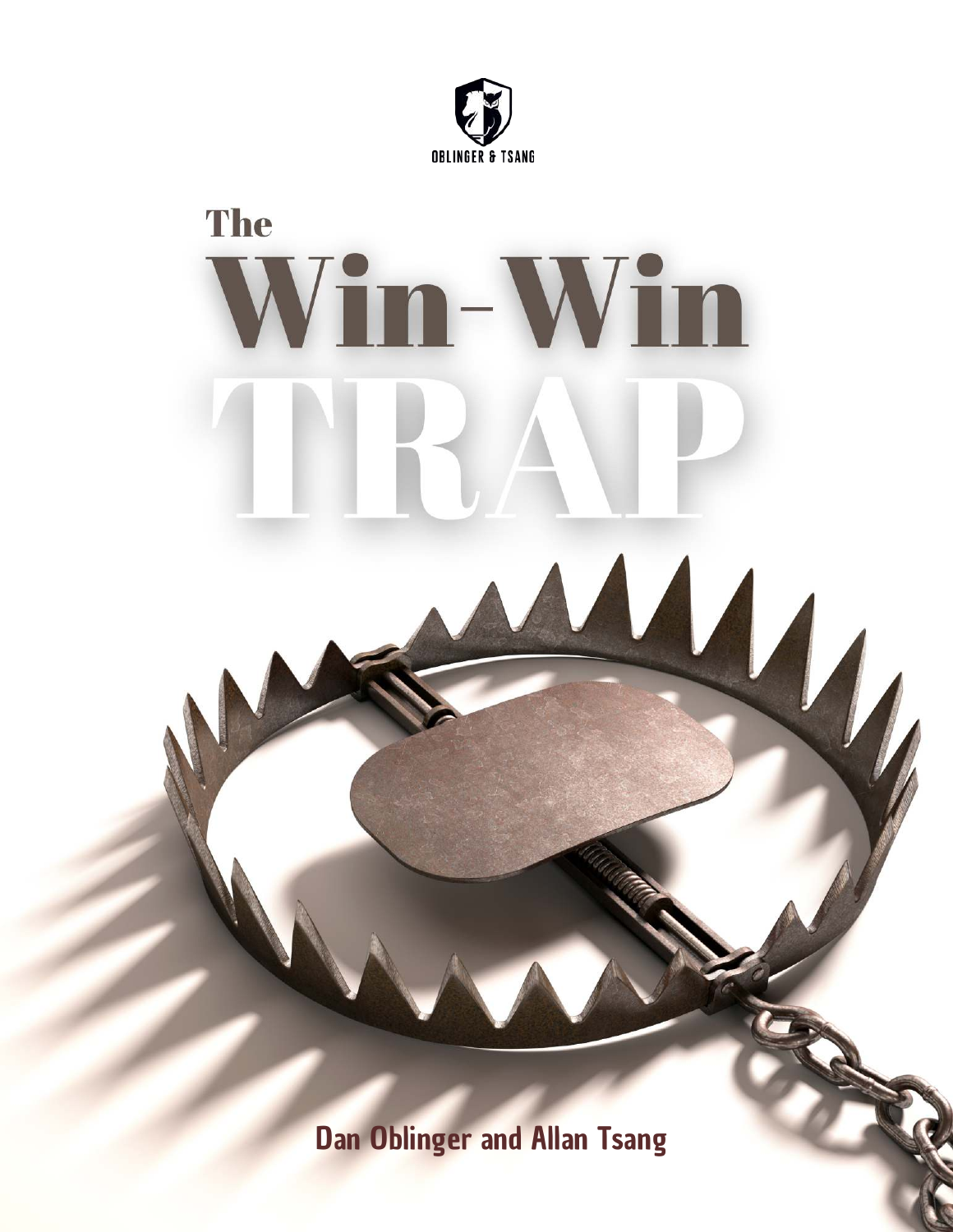



Dan Oblinger and Allan Tsang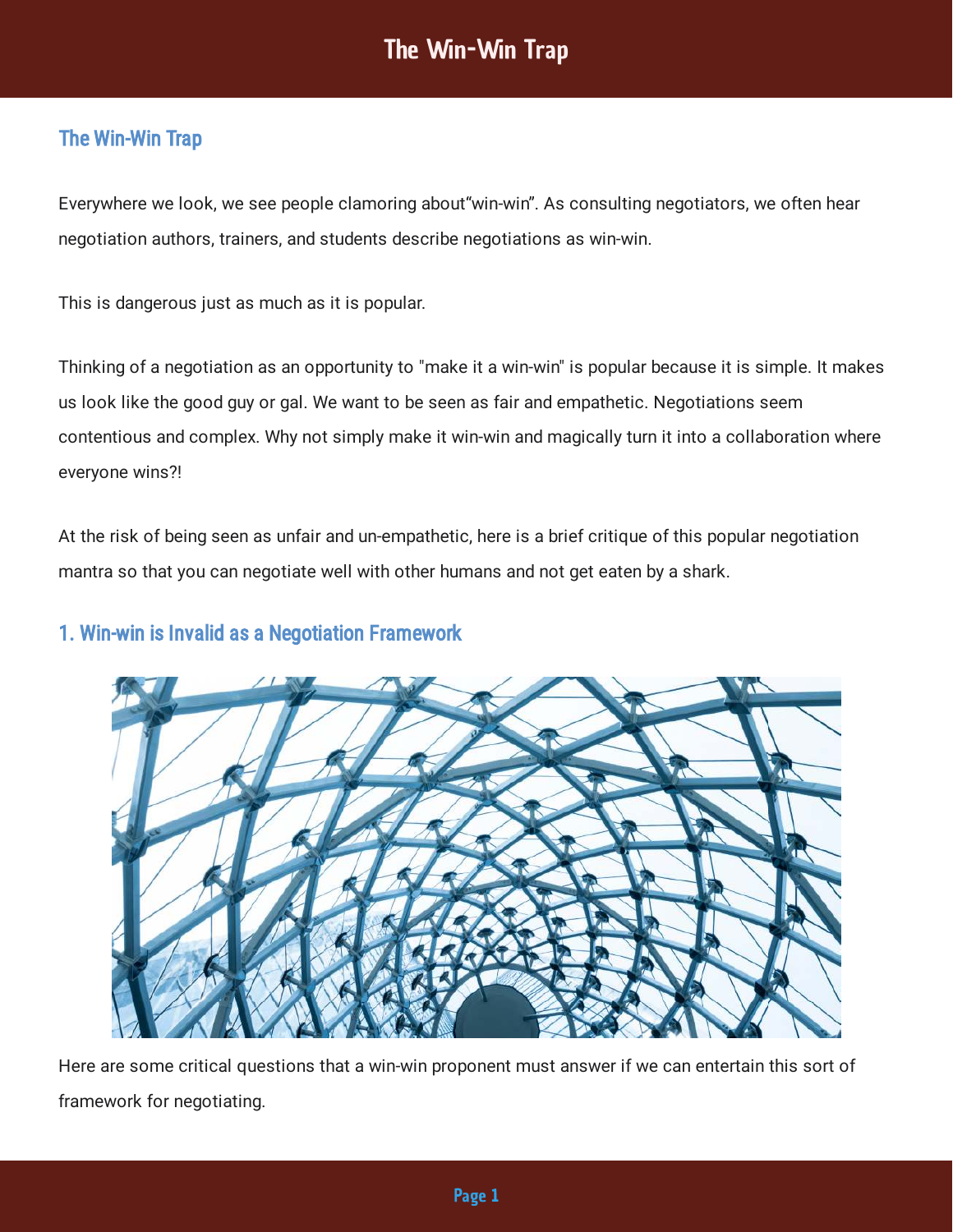## The Win-Win Trap

Everywhere we look, we see people clamoring about"win-win". As consulting negotiators, we often hear negotiation authors, trainers, and students describe negotiations as win-win.

This is dangerous just as much as it is popular.

Thinking of a negotiation as an opportunity to "make it a win-win" is popular because it is simple. It makes us look like the good guy or gal. We want to be seen as fair and empathetic. Negotiations seem contentious and complex. Why not simply make it win-win and magically turn it into a collaboration where everyone wins?!

At the risk of being seen as unfair and un-empathetic, here is a brief critique of this popular negotiation mantra so that you can negotiate well with other humans and not get eaten by a shark.

### 1. Win-win is Invalid as a Negotiation Framework



Here are some critical questions that a win-win proponent must answer if we can entertain this sort of framework for negotiating.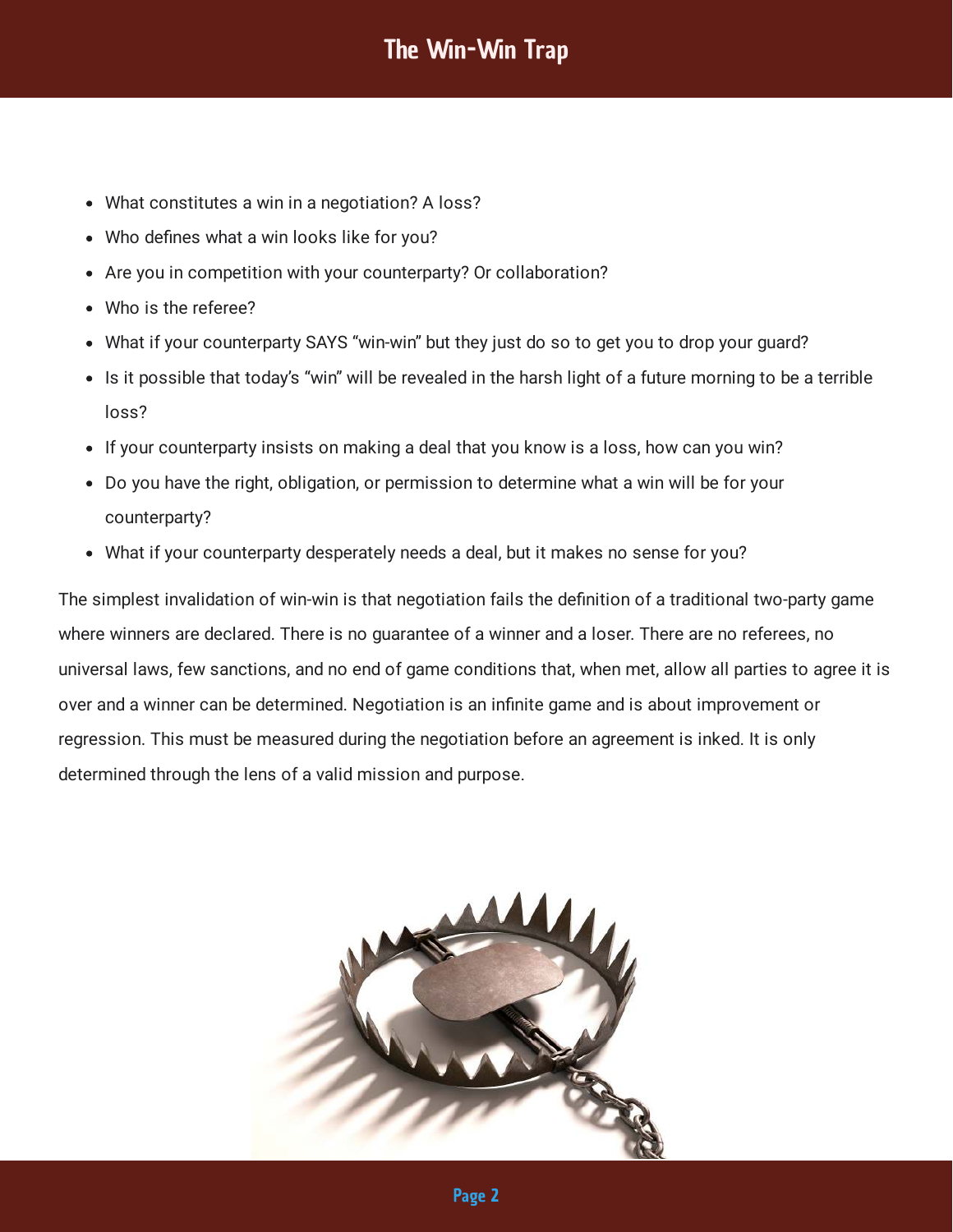- What constitutes a win in a negotiation? A loss?
- Who defines what a win looks like for you?
- Are you in competition with your counterparty? Or collaboration?
- Who is the referee?
- What if your counterparty SAYS "win-win" but they just do so to get you to drop your guard?
- Is it possible that today's "win" will be revealed in the harsh light of a future morning to be a terrible loss?
- If your counterparty insists on making a deal that you know is a loss, how can you win?
- Do you have the right, obligation, or permission to determine what a win will be for your counterparty?
- What if your counterparty desperately needs a deal, but it makes no sense for you?

The simplest invalidation of win-win is that negotiation fails the definition of a traditional two-party game where winners are declared. There is no guarantee of a winner and a loser. There are no referees, no universal laws, few sanctions, and no end of game conditions that, when met, allow all parties to agree it is over and a winner can be determined. Negotiation is an infinite game and is about improvement or regression. This must be measured during the negotiation before an agreement is inked. It is only determined through the lens of a valid mission and purpose.

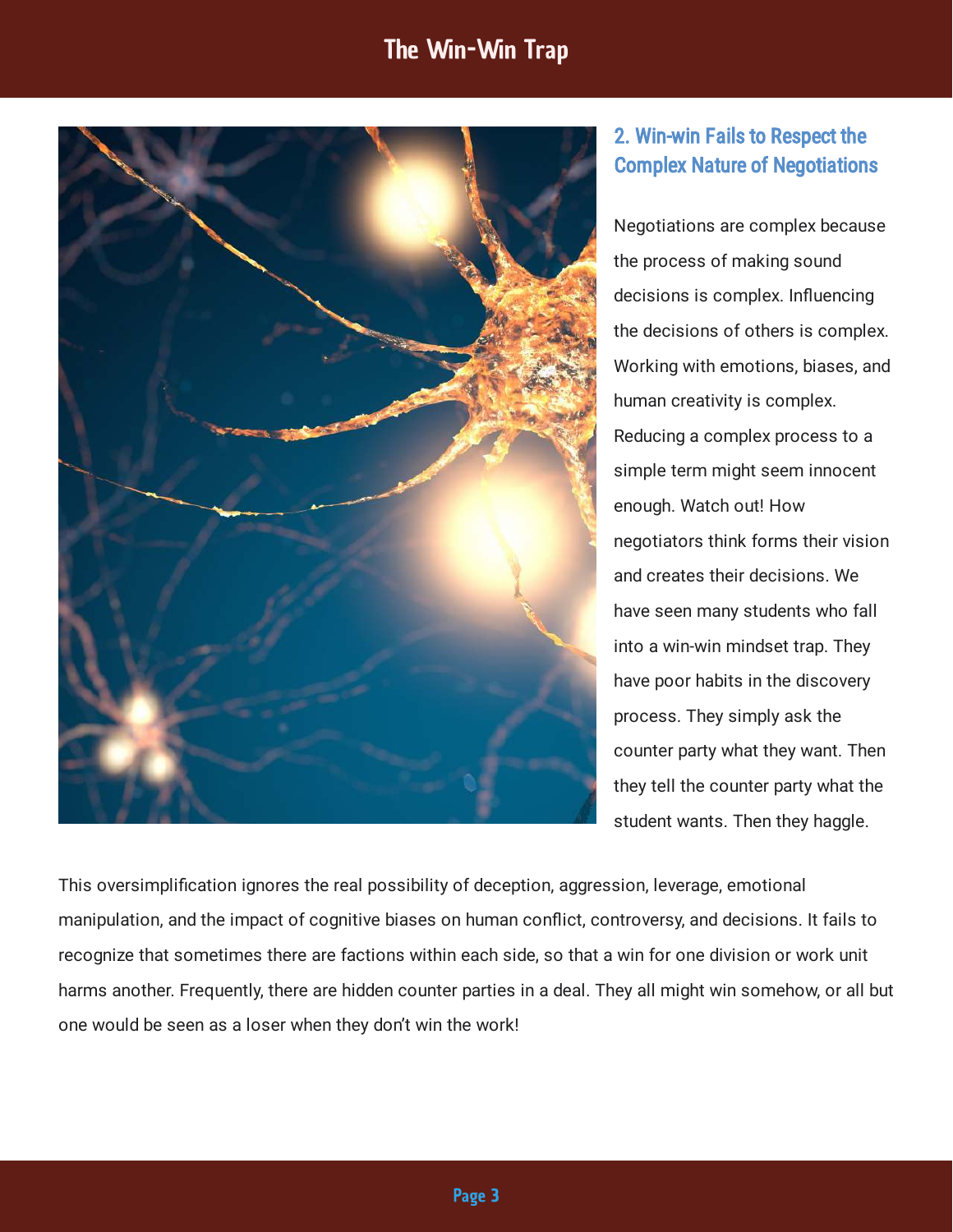

## 2. Win-win Fails to Respect the Complex Nature of Negotiations

Negotiations are complex because the process of making sound decisions is complex. Influencing the decisions of others is complex. Working with emotions, biases, and human creativity is complex. Reducing a complex process to a simple term might seem innocent enough. Watch out! How negotiators think forms their vision and creates their decisions. We have seen many students who fall into a win-win mindset trap. They have poor habits in the discovery process. They simply ask the counter party what they want. Then they tell the counter party what the student wants. Then they haggle.

This oversimplication ignores the real possibility of deception, aggression, leverage, emotional manipulation, and the impact of cognitive biases on human conflict, controversy, and decisions. It fails to recognize that sometimes there are factions within each side, so that a win for one division or work unit harms another. Frequently, there are hidden counter parties in a deal. They all might win somehow, or all but one would be seen as a loser when they don't win the work!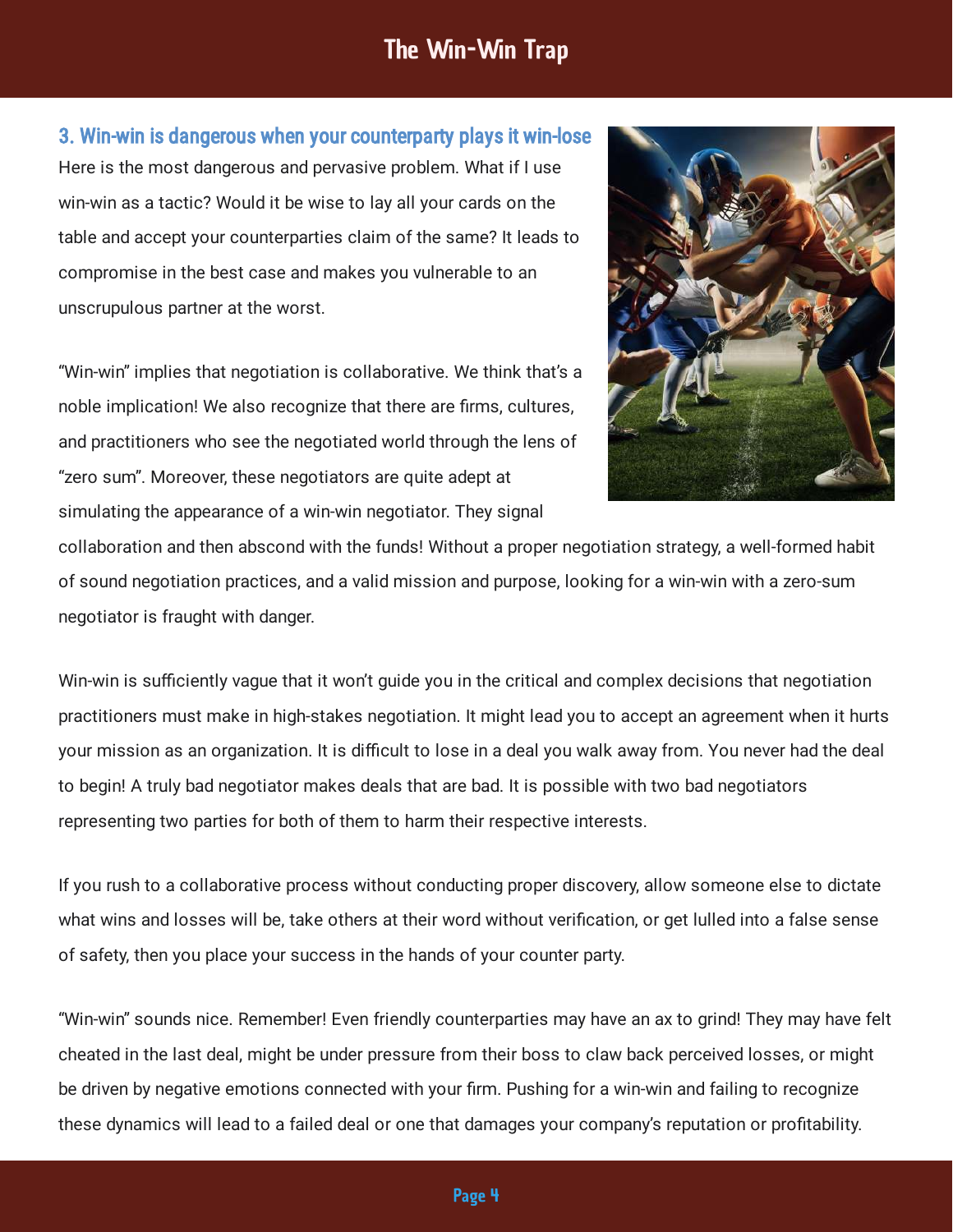Here is the most dangerous and pervasive problem. What if I use win-win as a tactic? Would it be wise to lay all your cards on the table and accept your counterparties claim of the same? It leads to compromise in the best case and makes you vulnerable to an unscrupulous partner at the worst. 3. Win-win is dangerous when your counterparty plays it win-lose

"Win-win" implies that negotiation is collaborative. We think that's a noble implication! We also recognize that there are firms, cultures, and practitioners who see the negotiated world through the lens of "zero sum". Moreover, these negotiators are quite adept at simulating the appearance of a win-win negotiator. They signal



collaboration and then abscond with the funds! Without a proper negotiation strategy, a well-formed habit of sound negotiation practices, and a valid mission and purpose, looking for a win-win with a zero-sum negotiator is fraught with danger.

Win-win is sufficiently vague that it won't guide you in the critical and complex decisions that negotiation practitioners must make in high-stakes negotiation. It might lead you to accept an agreement when it hurts your mission as an organization. It is difficult to lose in a deal you walk away from. You never had the deal to begin! A truly bad negotiator makes deals that are bad. It is possible with two bad negotiators representing two parties for both of them to harm their respective interests.

If you rush to a collaborative process without conducting proper discovery, allow someone else to dictate what wins and losses will be, take others at their word without verification, or get lulled into a false sense of safety, then you place your success in the hands of your counter party.

"Win-win" sounds nice. Remember! Even friendly counterparties may have an ax to grind! They may have felt cheated in the last deal, might be under pressure from their boss to claw back perceived losses, or might be driven by negative emotions connected with your firm. Pushing for a win-win and failing to recognize these dynamics will lead to a failed deal or one that damages your company's reputation or protability.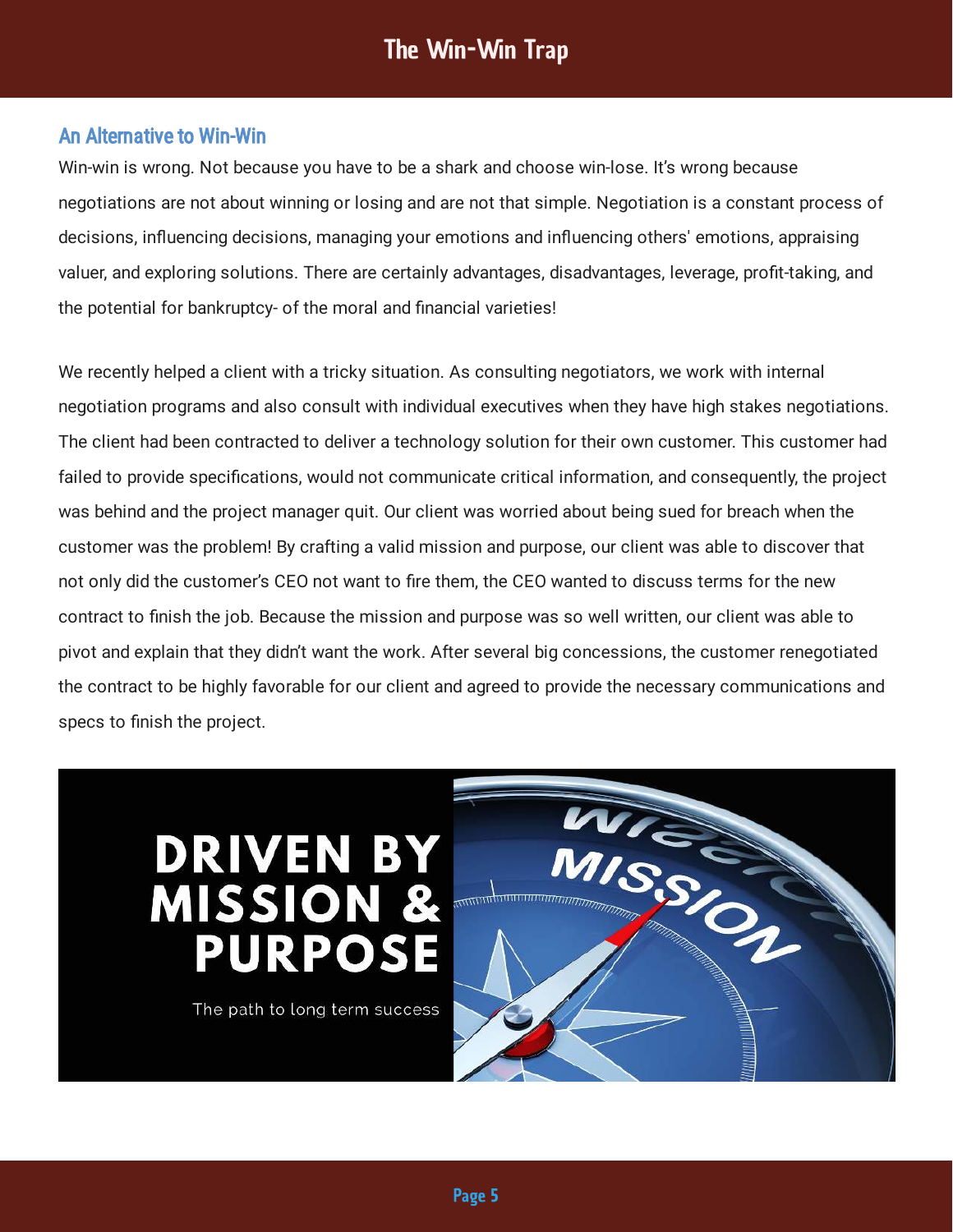#### An Alternative to Win-Win

Win-win is wrong. Not because you have to be a shark and choose win-lose. It's wrong because negotiations are not about winning or losing and are not that simple. Negotiation is a constant process of decisions, influencing decisions, managing your emotions and influencing others' emotions, appraising valuer, and exploring solutions. There are certainly advantages, disadvantages, leverage, profit-taking, and the potential for bankruptcy- of the moral and financial varieties!

We recently helped a client with a tricky situation. As consulting negotiators, we work with internal negotiation programs and also consult with individual executives when they have high stakes negotiations. The client had been contracted to deliver a technology solution for their own customer. This customer had failed to provide specifications, would not communicate critical information, and consequently, the project was behind and the project manager quit. Our client was worried about being sued for breach when the customer was the problem! By crafting a valid mission and purpose, our client was able to discover that not only did the customer's CEO not want to fire them, the CEO wanted to discuss terms for the new contract to finish the job. Because the mission and purpose was so well written, our client was able to pivot and explain that they didn't want the work. After several big concessions, the customer renegotiated the contract to be highly favorable for our client and agreed to provide the necessary communications and specs to finish the project.

# **DRIVEN BY<br>MISSION & PURPOSE**

The path to long term success

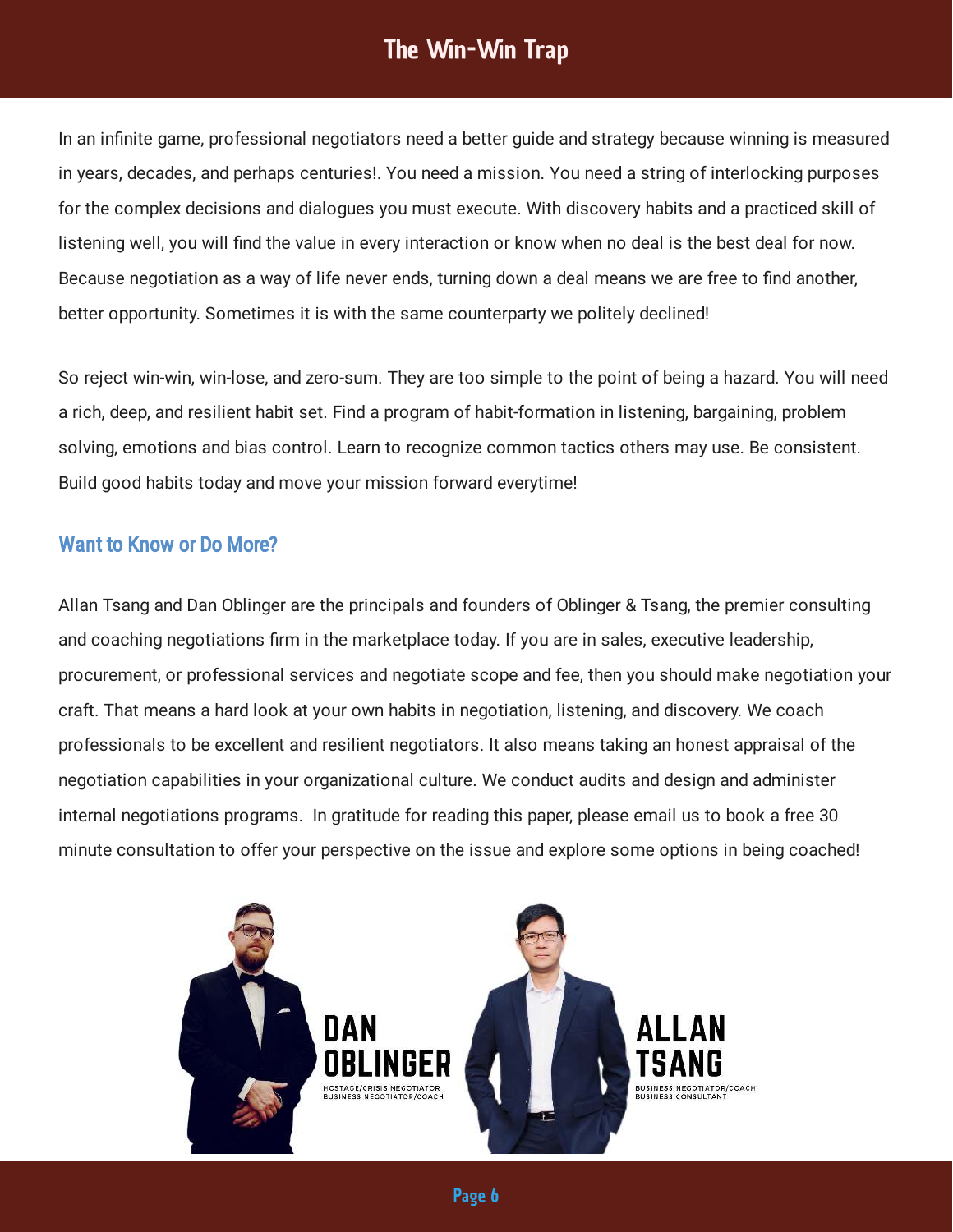In an infinite game, professional negotiators need a better guide and strategy because winning is measured in years, decades, and perhaps centuries!. You need a mission. You need a string of interlocking purposes for the complex decisions and dialogues you must execute. With discovery habits and a practiced skill of listening well, you will find the value in every interaction or know when no deal is the best deal for now. Because negotiation as a way of life never ends, turning down a deal means we are free to find another, better opportunity. Sometimes it is with the same counterparty we politely declined!

So reject win-win, win-lose, and zero-sum. They are too simple to the point of being a hazard. You will need a rich, deep, and resilient habit set. Find a program of habit-formation in listening, bargaining, problem solving, emotions and bias control. Learn to recognize common tactics others may use. Be consistent. Build good habits today and move your mission forward everytime!

### Want to Know or Do More?

Allan Tsang and Dan Oblinger are the principals and founders of Oblinger & Tsang, the premier consulting and coaching negotiations firm in the marketplace today. If you are in sales, executive leadership, procurement, or professional services and negotiate scope and fee, then you should make negotiation your craft. That means a hard look at your own habits in negotiation, listening, and discovery. We coach professionals to be excellent and resilient negotiators. It also means taking an honest appraisal of the negotiation capabilities in your organizational culture. We conduct audits and design and administer internal negotiations programs. In gratitude for reading this paper, please email us to book a free 30 minute consultation to offer your perspective on the issue and explore some options in being coached!